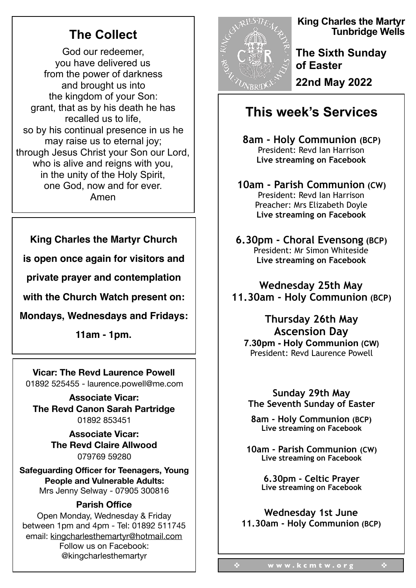# **The Collect**

God our redeemer, you have delivered us from the power of darkness and brought us into the kingdom of your Son: grant, that as by his death he has recalled us to life, so by his continual presence in us he may raise us to eternal joy; through Jesus Christ your Son our Lord, who is alive and reigns with you, in the unity of the Holy Spirit, one God, now and for ever. Amen

### **King Charles the Martyr Church**

**is open once again for visitors and**

**private prayer and contemplation** 

**with the Church Watch present on:**

**Mondays, Wednesdays and Fridays:**

**11am - 1pm.**

#### **Vicar: The Revd Laurence Powell**  01892 525455 - laurence.powell@me.com

**Associate Vicar: The Revd Canon Sarah Partridge**  01892 853451

> **Associate Vicar: The Revd Claire Allwood**  079769 59280

**Safeguarding Officer for Teenagers, Young People and Vulnerable Adults:** Mrs Jenny Selway - 07905 300816

### **Parish Office**

Open Monday, Wednesday & Friday between 1pm and 4pm - Tel: 01892 511745 email: kingcharlesthemartyr@hotmail.com Follow us on Facebook: @kingcharlesthemartyr



**King Charles the Martyr Tunbridge Wells** 

**The Sixth Sunday of Easter 22nd May 2022** 

## **This week's Services**

**8am - Holy Communion (BCP)**  President: Revd Ian Harrison **Live streaming on Facebook** 

**10am - Parish Communion (CW)**  President: Revd Ian Harrison Preacher: Mrs Elizabeth Doyle **Live streaming on Facebook** 

**6.30pm - Choral Evensong (BCP)** President: Mr Simon Whiteside **Live streaming on Facebook** 

**Wednesday 25th May 11.30am - Holy Communion (BCP)** 

## **Thursday 26th May Ascension Day**

**7.30pm - Holy Communion (CW)**  President: Revd Laurence Powell

**Sunday 29th May The Seventh Sunday of Easter** 

**8am - Holy Communion (BCP) Live streaming on Facebook** 

**10am - Parish Communion (CW) Live streaming on Facebook** 

> **6.30pm - Celtic Prayer Live streaming on Facebook**

**Wednesday 1st June 11.30am - Holy Communion (BCP)**